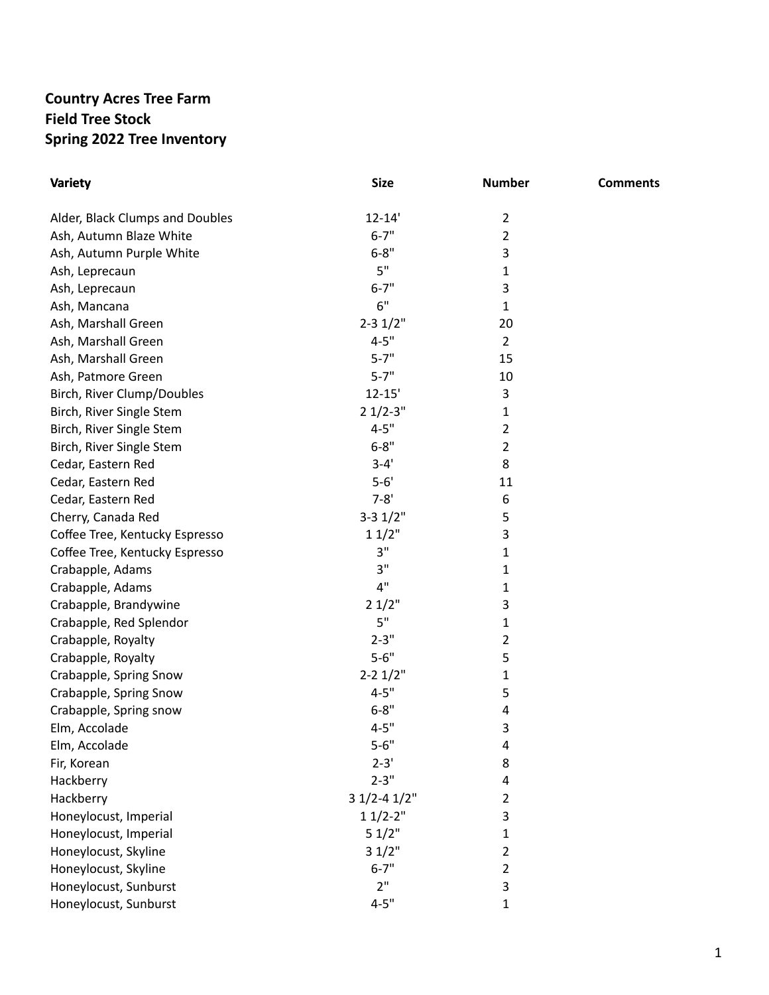## **Country Acres Tree Farm Field Tree Stock Spring 2022 Tree Inventory**

| <b>Variety</b>                  | <b>Size</b>    | <b>Number</b>  | <b>Comments</b> |
|---------------------------------|----------------|----------------|-----------------|
| Alder, Black Clumps and Doubles | $12 - 14'$     | $\overline{2}$ |                 |
| Ash, Autumn Blaze White         | $6 - 7"$       | $\overline{2}$ |                 |
| Ash, Autumn Purple White        | $6 - 8"$       | 3              |                 |
| Ash, Leprecaun                  | 5"             | 1              |                 |
| Ash, Leprecaun                  | $6 - 7"$       | 3              |                 |
| Ash, Mancana                    | 6"             | $\mathbf{1}$   |                 |
| Ash, Marshall Green             | $2 - 31/2"$    | 20             |                 |
| Ash, Marshall Green             | $4 - 5"$       | $\overline{2}$ |                 |
| Ash, Marshall Green             | $5 - 7"$       | 15             |                 |
| Ash, Patmore Green              | $5 - 7"$       | 10             |                 |
| Birch, River Clump/Doubles      | $12 - 15'$     | 3              |                 |
| Birch, River Single Stem        | $21/2-3"$      | 1              |                 |
| Birch, River Single Stem        | $4 - 5"$       | $\overline{2}$ |                 |
| Birch, River Single Stem        | $6 - 8"$       | $\overline{2}$ |                 |
| Cedar, Eastern Red              | $3 - 4'$       | 8              |                 |
| Cedar, Eastern Red              | $5 - 6'$       | 11             |                 |
| Cedar, Eastern Red              | $7 - 8'$       | 6              |                 |
| Cherry, Canada Red              | $3 - 31/2"$    | 5              |                 |
| Coffee Tree, Kentucky Espresso  | 11/2"          | 3              |                 |
| Coffee Tree, Kentucky Espresso  | 3"             | 1              |                 |
| Crabapple, Adams                | 3"             | $\mathbf{1}$   |                 |
| Crabapple, Adams                | 4"             | 1              |                 |
| Crabapple, Brandywine           | 21/2"          | 3              |                 |
| Crabapple, Red Splendor         | 5"             | $\mathbf{1}$   |                 |
| Crabapple, Royalty              | $2 - 3"$       | $\overline{2}$ |                 |
| Crabapple, Royalty              | $5 - 6"$       | 5              |                 |
| Crabapple, Spring Snow          | $2 - 21/2"$    | $\mathbf{1}$   |                 |
| Crabapple, Spring Snow          | $4 - 5"$       | 5              |                 |
| Crabapple, Spring snow          | $6 - 8"$       | 4              |                 |
| Elm, Accolade                   | $4 - 5"$       | 3              |                 |
| Elm, Accolade                   | $5 - 6"$       | 4              |                 |
| Fir, Korean                     | $2 - 3'$       | 8              |                 |
| Hackberry                       | $2 - 3"$       | 4              |                 |
| Hackberry                       | $31/2 - 41/2"$ | $\overline{2}$ |                 |
| Honeylocust, Imperial           | $11/2-2"$      | 3              |                 |
| Honeylocust, Imperial           | 51/2"          | $\mathbf{1}$   |                 |
| Honeylocust, Skyline            | 31/2"          | $\overline{2}$ |                 |
| Honeylocust, Skyline            | $6 - 7"$       | $\overline{2}$ |                 |
| Honeylocust, Sunburst           | 2"             | 3              |                 |
| Honeylocust, Sunburst           | $4 - 5"$       | 1              |                 |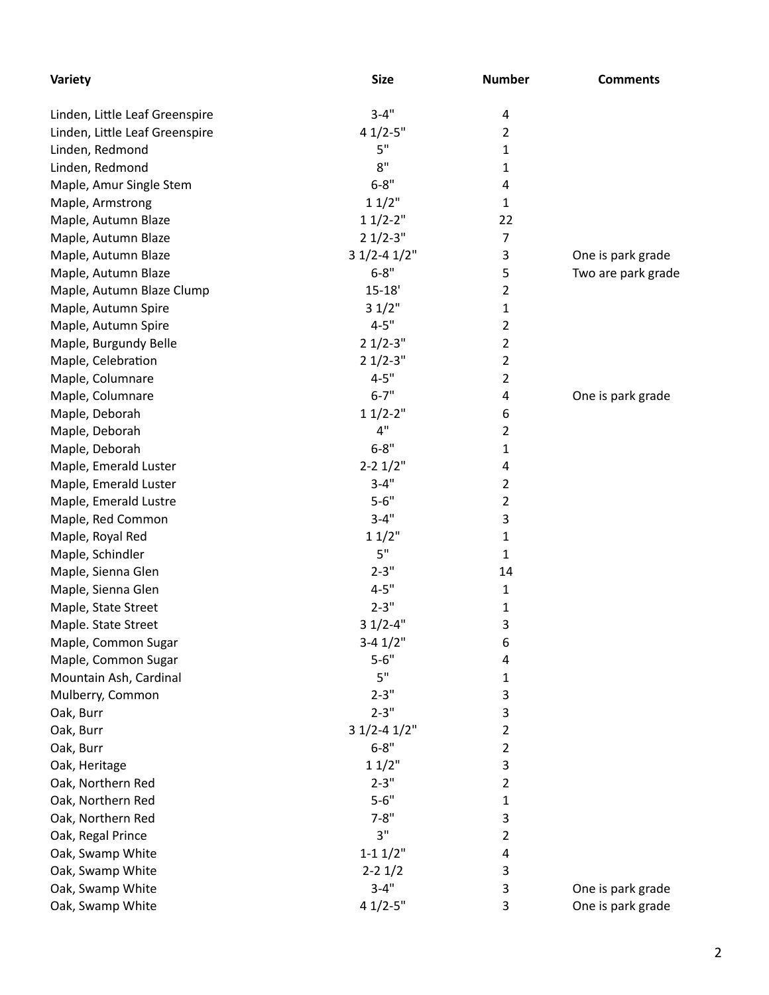| Variety                        | <b>Size</b>     | <b>Number</b>  | <b>Comments</b>    |
|--------------------------------|-----------------|----------------|--------------------|
| Linden, Little Leaf Greenspire | $3 - 4"$        | 4              |                    |
| Linden, Little Leaf Greenspire | $41/2 - 5"$     | 2              |                    |
| Linden, Redmond                | 5"              | 1              |                    |
| Linden, Redmond                | 8"              | 1              |                    |
| Maple, Amur Single Stem        | $6 - 8"$        | 4              |                    |
| Maple, Armstrong               | 11/2"           | 1              |                    |
| Maple, Autumn Blaze            | $11/2-2"$       | 22             |                    |
| Maple, Autumn Blaze            | $21/2-3"$       | 7              |                    |
| Maple, Autumn Blaze            | $31/2 - 41/2$ " | 3              | One is park grade  |
| Maple, Autumn Blaze            | $6 - 8"$        | 5              | Two are park grade |
| Maple, Autumn Blaze Clump      | $15 - 18'$      | $\overline{2}$ |                    |
| Maple, Autumn Spire            | 31/2"           | 1              |                    |
| Maple, Autumn Spire            | $4 - 5"$        | 2              |                    |
| Maple, Burgundy Belle          | $21/2-3"$       | $\overline{2}$ |                    |
| Maple, Celebration             | $21/2-3"$       | $\overline{2}$ |                    |
| Maple, Columnare               | $4 - 5"$        | $\overline{2}$ |                    |
| Maple, Columnare               | $6 - 7"$        | 4              | One is park grade  |
| Maple, Deborah                 | $11/2-2"$       | 6              |                    |
| Maple, Deborah                 | 4"              | 2              |                    |
| Maple, Deborah                 | $6 - 8"$        | 1              |                    |
| Maple, Emerald Luster          | $2 - 21/2"$     | 4              |                    |
| Maple, Emerald Luster          | $3 - 4"$        | 2              |                    |
|                                | $5 - 6"$        | $\overline{2}$ |                    |
| Maple, Emerald Lustre          | $3 - 4"$        |                |                    |
| Maple, Red Common              |                 | 3              |                    |
| Maple, Royal Red               | 11/2"           | 1              |                    |
| Maple, Schindler               | 5"              | 1              |                    |
| Maple, Sienna Glen             | $2 - 3"$        | 14             |                    |
| Maple, Sienna Glen             | $4 - 5"$        | 1              |                    |
| Maple, State Street            | $2 - 3"$        | 1              |                    |
| Maple. State Street            | $31/2 - 4"$     | 3              |                    |
| Maple, Common Sugar            | $3-4$ $1/2$ "   | 6              |                    |
| Maple, Common Sugar            | $5 - 6"$        | 4              |                    |
| Mountain Ash, Cardinal         | 5"              | 1              |                    |
| Mulberry, Common               | $2 - 3"$        | 3              |                    |
| Oak, Burr                      | $2 - 3"$        | 3              |                    |
| Oak, Burr                      | $31/2 - 41/2$ " | 2              |                    |
| Oak, Burr                      | $6 - 8"$        | 2              |                    |
| Oak, Heritage                  | 11/2"           | 3              |                    |
| Oak, Northern Red              | $2 - 3"$        | 2              |                    |
| Oak, Northern Red              | $5 - 6"$        | 1              |                    |
| Oak, Northern Red              | $7 - 8"$        | 3              |                    |
| Oak, Regal Prince              | 3"              | 2              |                    |
| Oak, Swamp White               | $1 - 11/2$ "    | 4              |                    |
| Oak, Swamp White               | $2 - 21/2$      | 3              |                    |
| Oak, Swamp White               | $3 - 4"$        | 3              | One is park grade  |
| Oak, Swamp White               | $41/2 - 5"$     | 3              | One is park grade  |